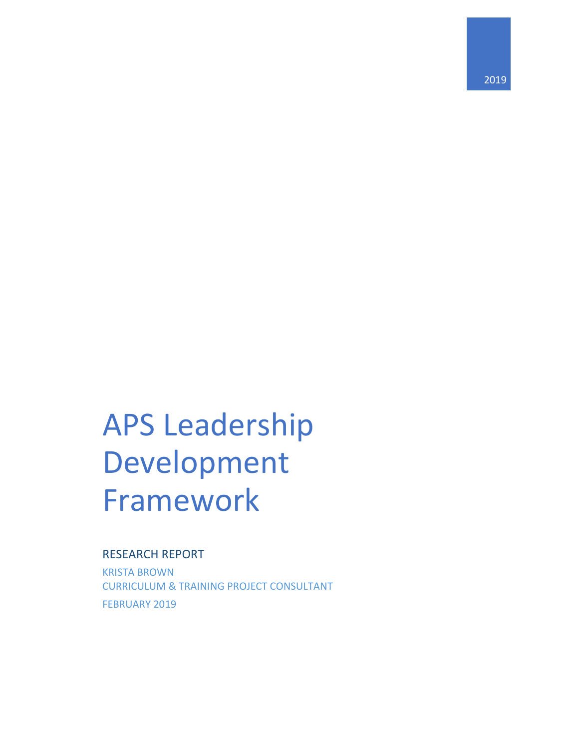# APS Leadership Development Framework

### RESEARCH REPORT

KRISTA BROWN CURRICULUM & TRAINING PROJECT CONSULTANT FEBRUARY 2019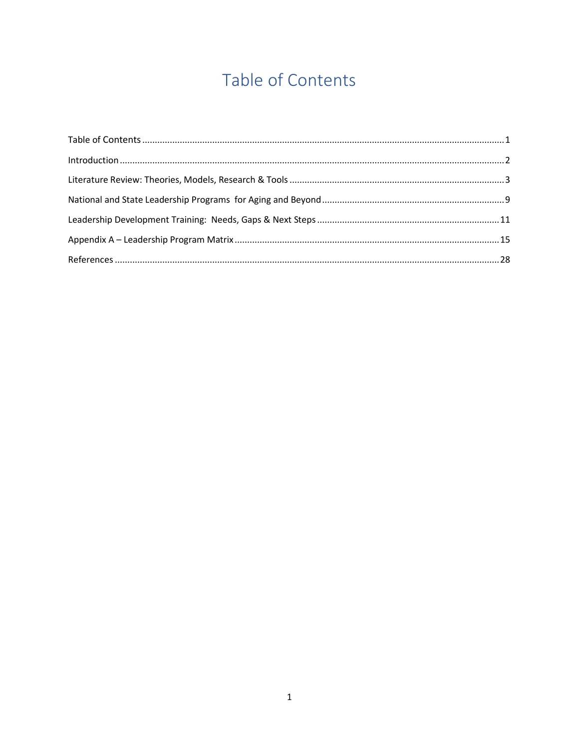# Table of Contents

<span id="page-1-0"></span>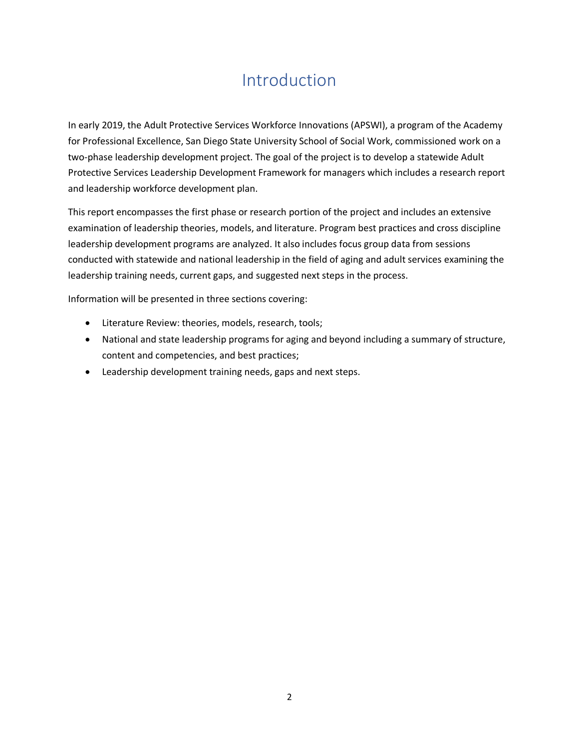# Introduction

<span id="page-2-0"></span>In early 2019, the Adult Protective Services Workforce Innovations (APSWI), a program of the Academy for Professional Excellence, San Diego State University School of Social Work, commissioned work on a two-phase leadership development project. The goal of the project is to develop a statewide Adult Protective Services Leadership Development Framework for managers which includes a research report and leadership workforce development plan.

This report encompasses the first phase or research portion of the project and includes an extensive examination of leadership theories, models, and literature. Program best practices and cross discipline leadership development programs are analyzed. It also includes focus group data from sessions conducted with statewide and national leadership in the field of aging and adult services examining the leadership training needs, current gaps, and suggested next steps in the process.

Information will be presented in three sections covering:

- Literature Review: theories, models, research, tools;
- National and state leadership programs for aging and beyond including a summary of structure, content and competencies, and best practices;
- Leadership development training needs, gaps and next steps.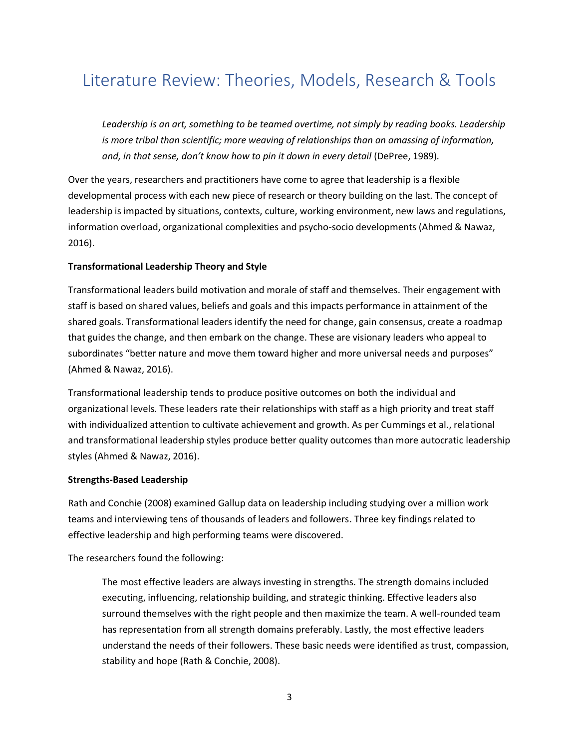# <span id="page-3-0"></span>Literature Review: Theories, Models, Research & Tools

Leadership is an art, something to be teamed overtime, not simply by reading books. Leadership *is more tribal than scientific; more weaving of relationships than an amassing of information, and, in that sense, don't know how to pin it down in every detail* (DePree, 1989)*.*

Over the years, researchers and practitioners have come to agree that leadership is a flexible developmental process with each new piece of research or theory building on the last. The concept of leadership is impacted by situations, contexts, culture, working environment, new laws and regulations, information overload, organizational complexities and psycho-socio developments (Ahmed & Nawaz, 2016).

#### **Transformational Leadership Theory and Style**

Transformational leaders build motivation and morale of staff and themselves. Their engagement with staff is based on shared values, beliefs and goals and this impacts performance in attainment of the shared goals. Transformational leaders identify the need for change, gain consensus, create a roadmap that guides the change, and then embark on the change. These are visionary leaders who appeal to subordinates "better nature and move them toward higher and more universal needs and purposes" (Ahmed & Nawaz, 2016).

Transformational leadership tends to produce positive outcomes on both the individual and organizational levels. These leaders rate their relationships with staff as a high priority and treat staff with individualized attention to cultivate achievement and growth. As per Cummings et al., relational and transformational leadership styles produce better quality outcomes than more autocratic leadership styles (Ahmed & Nawaz, 2016).

#### **Strengths-Based Leadership**

Rath and Conchie (2008) examined Gallup data on leadership including studying over a million work teams and interviewing tens of thousands of leaders and followers. Three key findings related to effective leadership and high performing teams were discovered.

The researchers found the following:

The most effective leaders are always investing in strengths. The strength domains included executing, influencing, relationship building, and strategic thinking. Effective leaders also surround themselves with the right people and then maximize the team. A well-rounded team has representation from all strength domains preferably. Lastly, the most effective leaders understand the needs of their followers. These basic needs were identified as trust, compassion, stability and hope (Rath & Conchie, 2008).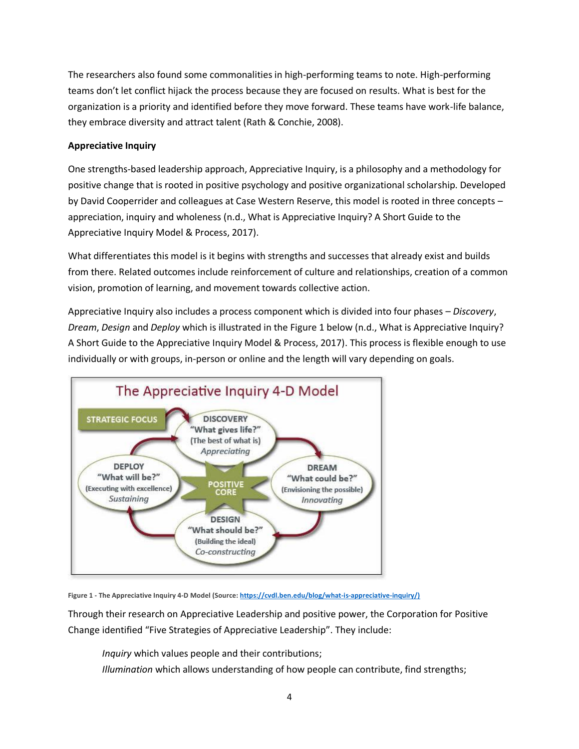The researchers also found some commonalities in high-performing teams to note. High-performing teams don't let conflict hijack the process because they are focused on results. What is best for the organization is a priority and identified before they move forward. These teams have work-life balance, they embrace diversity and attract talent (Rath & Conchie, 2008).

#### **Appreciative Inquiry**

One strengths-based leadership approach, Appreciative Inquiry, is a philosophy and a methodology for positive change that is rooted in positive psychology and positive organizational scholarship. Developed by David Cooperrider and colleagues at Case Western Reserve, this model is rooted in three concepts – appreciation, inquiry and wholeness (n.d., What is Appreciative Inquiry? A Short Guide to the Appreciative Inquiry Model & Process, 2017).

What differentiates this model is it begins with strengths and successes that already exist and builds from there. Related outcomes include reinforcement of culture and relationships, creation of a common vision, promotion of learning, and movement towards collective action.

Appreciative Inquiry also includes a process component which is divided into four phases – *Discovery*, *Dream*, *Design* and *Deploy* which is illustrated in the Figure 1 below (n.d., What is Appreciative Inquiry? A Short Guide to the Appreciative Inquiry Model & Process, 2017). This process is flexible enough to use individually or with groups, in-person or online and the length will vary depending on goals.



**Figure 1 - The Appreciative Inquiry 4-D Model (Source: [https://cvdl.ben.edu/blog/what-is-appreciative-inquiry/\)](https://cvdl.ben.edu/blog/what-is-appreciative-inquiry/)**

Through their research on Appreciative Leadership and positive power, the Corporation for Positive Change identified "Five Strategies of Appreciative Leadership". They include:

*Inquiry* which values people and their contributions;

*Illumination* which allows understanding of how people can contribute, find strengths;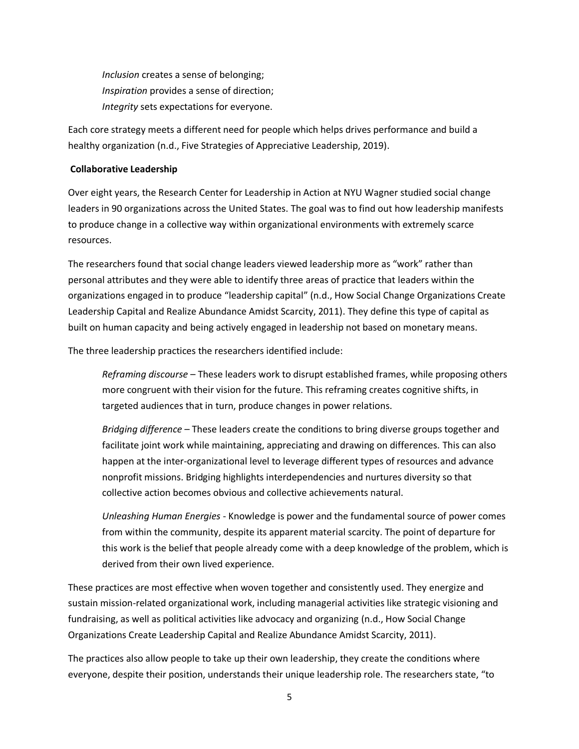*Inclusion* creates a sense of belonging; *Inspiration* provides a sense of direction; *Integrity* sets expectations for everyone.

Each core strategy meets a different need for people which helps drives performance and build a healthy organization (n.d., Five Strategies of Appreciative Leadership, 2019).

#### **Collaborative Leadership**

Over eight years, the Research Center for Leadership in Action at NYU Wagner studied social change leaders in 90 organizations across the United States. The goal was to find out how leadership manifests to produce change in a collective way within organizational environments with extremely scarce resources.

The researchers found that social change leaders viewed leadership more as "work" rather than personal attributes and they were able to identify three areas of practice that leaders within the organizations engaged in to produce "leadership capital" (n.d., How Social Change Organizations Create Leadership Capital and Realize Abundance Amidst Scarcity, 2011). They define this type of capital as built on human capacity and being actively engaged in leadership not based on monetary means.

The three leadership practices the researchers identified include:

*Reframing discourse* – These leaders work to disrupt established frames, while proposing others more congruent with their vision for the future. This reframing creates cognitive shifts, in targeted audiences that in turn, produce changes in power relations.

*Bridging difference* – These leaders create the conditions to bring diverse groups together and facilitate joint work while maintaining, appreciating and drawing on differences. This can also happen at the inter-organizational level to leverage different types of resources and advance nonprofit missions. Bridging highlights interdependencies and nurtures diversity so that collective action becomes obvious and collective achievements natural.

*Unleashing Human Energies* - Knowledge is power and the fundamental source of power comes from within the community, despite its apparent material scarcity. The point of departure for this work is the belief that people already come with a deep knowledge of the problem, which is derived from their own lived experience.

These practices are most effective when woven together and consistently used. They energize and sustain mission-related organizational work, including managerial activities like strategic visioning and fundraising, as well as political activities like advocacy and organizing (n.d., How Social Change Organizations Create Leadership Capital and Realize Abundance Amidst Scarcity, 2011).

The practices also allow people to take up their own leadership, they create the conditions where everyone, despite their position, understands their unique leadership role. The researchers state, "to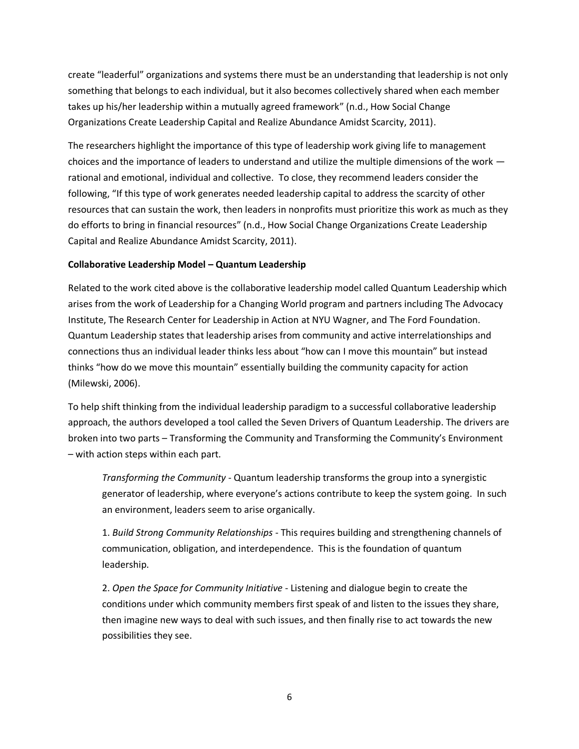create "leaderful" organizations and systems there must be an understanding that leadership is not only something that belongs to each individual, but it also becomes collectively shared when each member takes up his/her leadership within a mutually agreed framework" (n.d., How Social Change Organizations Create Leadership Capital and Realize Abundance Amidst Scarcity, 2011).

The researchers highlight the importance of this type of leadership work giving life to management choices and the importance of leaders to understand and utilize the multiple dimensions of the work rational and emotional, individual and collective. To close, they recommend leaders consider the following, "If this type of work generates needed leadership capital to address the scarcity of other resources that can sustain the work, then leaders in nonprofits must prioritize this work as much as they do efforts to bring in financial resources" (n.d., How Social Change Organizations Create Leadership Capital and Realize Abundance Amidst Scarcity, 2011).

#### **Collaborative Leadership Model – Quantum Leadership**

Related to the work cited above is the collaborative leadership model called Quantum Leadership which arises from the work of Leadership for a Changing World program and partners including The Advocacy Institute, The Research Center for Leadership in Action at NYU Wagner, and The Ford Foundation. Quantum Leadership states that leadership arises from community and active interrelationships and connections thus an individual leader thinks less about "how can I move this mountain" but instead thinks "how do we move this mountain" essentially building the community capacity for action (Milewski, 2006).

To help shift thinking from the individual leadership paradigm to a successful collaborative leadership approach, the authors developed a tool called the Seven Drivers of Quantum Leadership. The drivers are broken into two parts – Transforming the Community and Transforming the Community's Environment – with action steps within each part.

*Transforming the Community* - Quantum leadership transforms the group into a synergistic generator of leadership, where everyone's actions contribute to keep the system going. In such an environment, leaders seem to arise organically.

1. *Build Strong Community Relationships* - This requires building and strengthening channels of communication, obligation, and interdependence. This is the foundation of quantum leadership.

2. *Open the Space for Community Initiative* - Listening and dialogue begin to create the conditions under which community members first speak of and listen to the issues they share, then imagine new ways to deal with such issues, and then finally rise to act towards the new possibilities they see.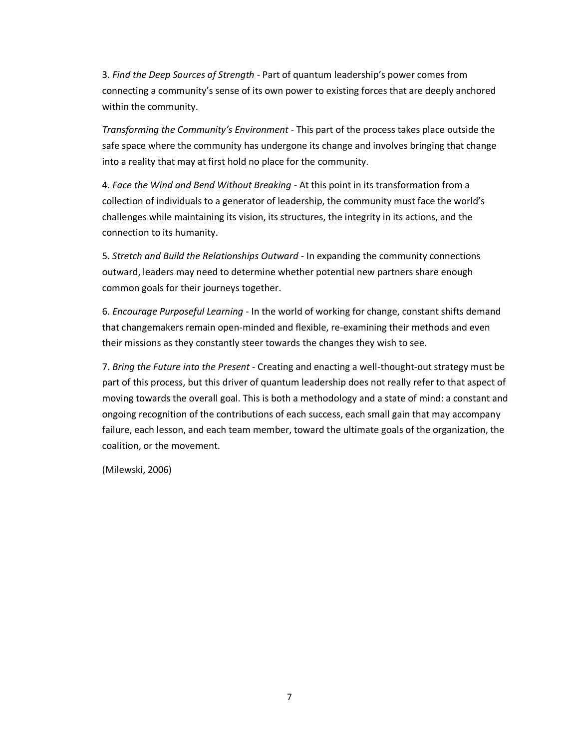3. *Find the Deep Sources of Strength* - Part of quantum leadership's power comes from connecting a community's sense of its own power to existing forces that are deeply anchored within the community.

*Transforming the Community's Environment* - This part of the process takes place outside the safe space where the community has undergone its change and involves bringing that change into a reality that may at first hold no place for the community.

4. *Face the Wind and Bend Without Breaking* - At this point in its transformation from a collection of individuals to a generator of leadership, the community must face the world's challenges while maintaining its vision, its structures, the integrity in its actions, and the connection to its humanity.

5. *Stretch and Build the Relationships Outward* - In expanding the community connections outward, leaders may need to determine whether potential new partners share enough common goals for their journeys together.

6. *Encourage Purposeful Learning* - In the world of working for change, constant shifts demand that changemakers remain open-minded and flexible, re-examining their methods and even their missions as they constantly steer towards the changes they wish to see.

7. *Bring the Future into the Present* - Creating and enacting a well-thought-out strategy must be part of this process, but this driver of quantum leadership does not really refer to that aspect of moving towards the overall goal. This is both a methodology and a state of mind: a constant and ongoing recognition of the contributions of each success, each small gain that may accompany failure, each lesson, and each team member, toward the ultimate goals of the organization, the coalition, or the movement.

(Milewski, 2006)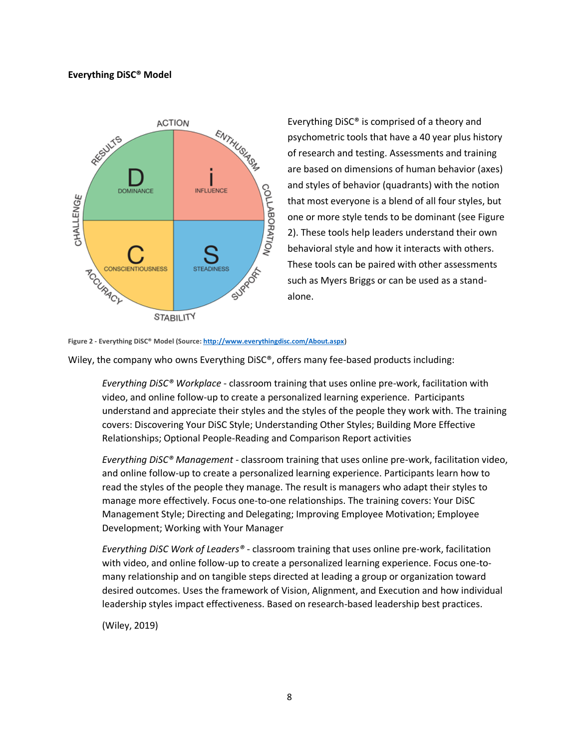#### **Everything DiSC® Model**



Everything DiSC® is comprised of a theory and psychometric tools that have a 40 year plus history of research and testing. Assessments and training are based on dimensions of human behavior (axes) and styles of behavior (quadrants) with the notion that most everyone is a blend of all four styles, but one or more style tends to be dominant (see Figure 2). These tools help leaders understand their own behavioral style and how it interacts with others. These tools can be paired with other assessments such as Myers Briggs or can be used as a standalone.

#### **Figure 2 - Everything DiSC® Model (Source[: http://www.everythingdisc.com/About.aspx\)](http://www.everythingdisc.com/About.aspx)**

Wiley, the company who owns Everything DiSC®, offers many fee-based products including:

*Everything DiSC® Workplace* - classroom training that uses online pre-work, facilitation with video, and online follow-up to create a personalized learning experience. Participants understand and appreciate their styles and the styles of the people they work with. The training covers: Discovering Your DiSC Style; Understanding Other Styles; Building More Effective Relationships; Optional People-Reading and Comparison Report activities

*Everything DiSC® Management* - classroom training that uses online pre-work, facilitation video, and online follow-up to create a personalized learning experience. Participants learn how to read the styles of the people they manage. The result is managers who adapt their styles to manage more effectively. Focus one-to-one relationships. The training covers: Your DiSC Management Style; Directing and Delegating; Improving Employee Motivation; Employee Development; Working with Your Manager

*Everything DiSC Work of Leaders®* - classroom training that uses online pre-work, facilitation with video, and online follow-up to create a personalized learning experience. Focus one-tomany relationship and on tangible steps directed at leading a group or organization toward desired outcomes. Uses the framework of Vision, Alignment, and Execution and how individual leadership styles impact effectiveness. Based on research-based leadership best practices.

(Wiley, 2019)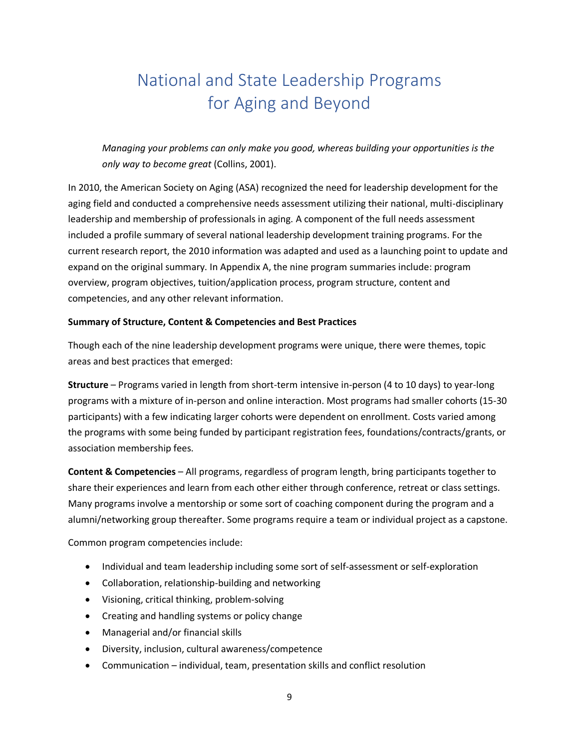# <span id="page-9-0"></span>National and State Leadership Programs for Aging and Beyond

*Managing your problems can only make you good, whereas building your opportunities is the only way to become great* (Collins, 2001).

In 2010, the American Society on Aging (ASA) recognized the need for leadership development for the aging field and conducted a comprehensive needs assessment utilizing their national, multi-disciplinary leadership and membership of professionals in aging. A component of the full needs assessment included a profile summary of several national leadership development training programs. For the current research report, the 2010 information was adapted and used as a launching point to update and expand on the original summary. In Appendix A, the nine program summaries include: program overview, program objectives, tuition/application process, program structure, content and competencies, and any other relevant information.

#### **Summary of Structure, Content & Competencies and Best Practices**

Though each of the nine leadership development programs were unique, there were themes, topic areas and best practices that emerged:

**Structure** – Programs varied in length from short-term intensive in-person (4 to 10 days) to year-long programs with a mixture of in-person and online interaction. Most programs had smaller cohorts (15-30 participants) with a few indicating larger cohorts were dependent on enrollment. Costs varied among the programs with some being funded by participant registration fees, foundations/contracts/grants, or association membership fees.

**Content & Competencies** – All programs, regardless of program length, bring participants together to share their experiences and learn from each other either through conference, retreat or class settings. Many programs involve a mentorship or some sort of coaching component during the program and a alumni/networking group thereafter. Some programs require a team or individual project as a capstone.

Common program competencies include:

- Individual and team leadership including some sort of self-assessment or self-exploration
- Collaboration, relationship-building and networking
- Visioning, critical thinking, problem-solving
- Creating and handling systems or policy change
- Managerial and/or financial skills
- Diversity, inclusion, cultural awareness/competence
- Communication individual, team, presentation skills and conflict resolution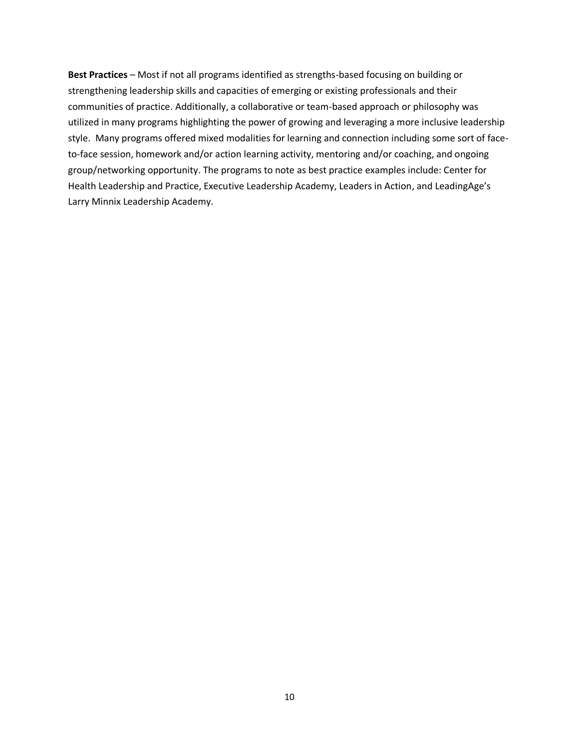**Best Practices** – Most if not all programs identified as strengths-based focusing on building or strengthening leadership skills and capacities of emerging or existing professionals and their communities of practice. Additionally, a collaborative or team-based approach or philosophy was utilized in many programs highlighting the power of growing and leveraging a more inclusive leadership style. Many programs offered mixed modalities for learning and connection including some sort of faceto-face session, homework and/or action learning activity, mentoring and/or coaching, and ongoing group/networking opportunity. The programs to note as best practice examples include: Center for Health Leadership and Practice, Executive Leadership Academy, Leaders in Action, and LeadingAge's Larry Minnix Leadership Academy.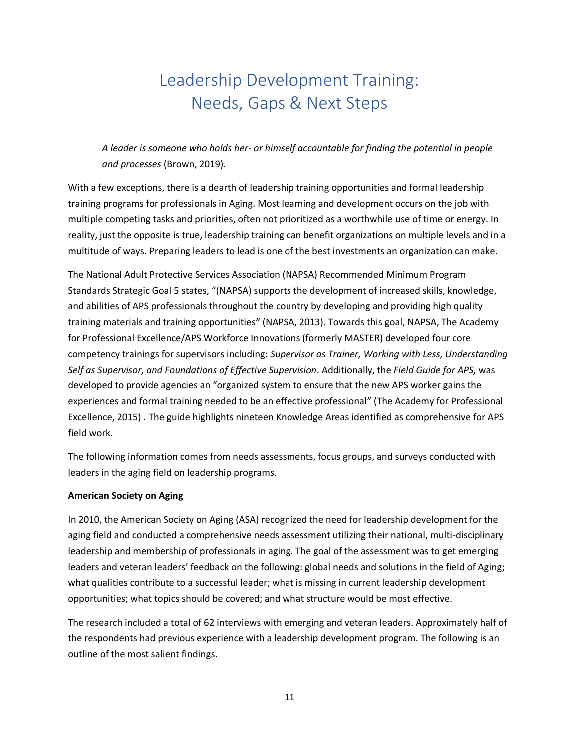# Leadership Development Training: Needs, Gaps & Next Steps

<span id="page-11-0"></span>*A leader is someone who holds her- or himself accountable for finding the potential in people and processes* (Brown, 2019)*.*

With a few exceptions, there is a dearth of leadership training opportunities and formal leadership training programs for professionals in Aging. Most learning and development occurs on the job with multiple competing tasks and priorities, often not prioritized as a worthwhile use of time or energy. In reality, just the opposite is true, leadership training can benefit organizations on multiple levels and in a multitude of ways. Preparing leaders to lead is one of the best investments an organization can make.

The National Adult Protective Services Association (NAPSA) Recommended Minimum Program Standards Strategic Goal 5 states, "(NAPSA) supports the development of increased skills, knowledge, and abilities of APS professionals throughout the country by developing and providing high quality training materials and training opportunities" (NAPSA, 2013). Towards this goal, NAPSA, The Academy for Professional Excellence/APS Workforce Innovations (formerly MASTER) developed four core competency trainings for supervisors including: *Supervisor as Trainer, Working with Less, Understanding Self as Supervisor, and Foundations of Effective Supervision*. Additionally, the *Field Guide for APS,* was developed to provide agencies an "organized system to ensure that the new APS worker gains the experiences and formal training needed to be an effective professional" (The Academy for Professional Excellence, 2015) . The guide highlights nineteen Knowledge Areas identified as comprehensive for APS field work.

The following information comes from needs assessments, focus groups, and surveys conducted with leaders in the aging field on leadership programs.

#### **American Society on Aging**

In 2010, the American Society on Aging (ASA) recognized the need for leadership development for the aging field and conducted a comprehensive needs assessment utilizing their national, multi-disciplinary leadership and membership of professionals in aging. The goal of the assessment was to get emerging leaders and veteran leaders' feedback on the following: global needs and solutions in the field of Aging; what qualities contribute to a successful leader; what is missing in current leadership development opportunities; what topics should be covered; and what structure would be most effective.

The research included a total of 62 interviews with emerging and veteran leaders. Approximately half of the respondents had previous experience with a leadership development program. The following is an outline of the most salient findings.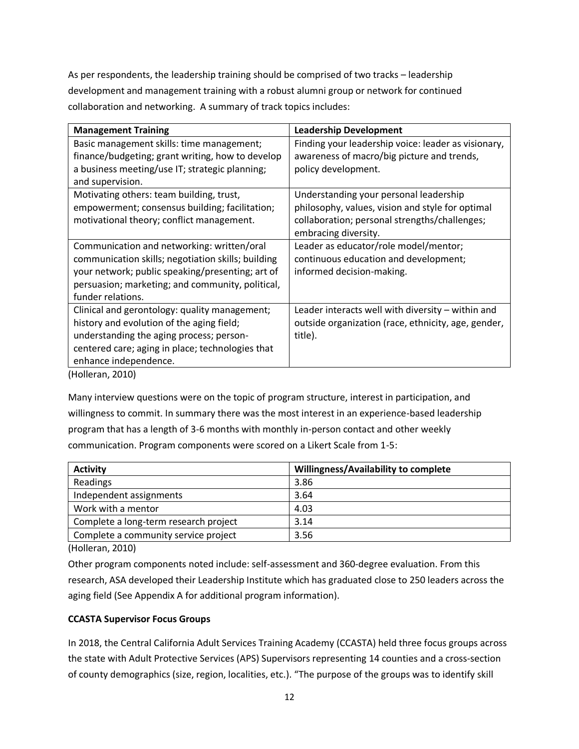As per respondents, the leadership training should be comprised of two tracks – leadership development and management training with a robust alumni group or network for continued collaboration and networking. A summary of track topics includes:

| <b>Management Training</b>                         | <b>Leadership Development</b>                       |
|----------------------------------------------------|-----------------------------------------------------|
| Basic management skills: time management;          | Finding your leadership voice: leader as visionary, |
| finance/budgeting; grant writing, how to develop   | awareness of macro/big picture and trends,          |
| a business meeting/use IT; strategic planning;     | policy development.                                 |
| and supervision.                                   |                                                     |
| Motivating others: team building, trust,           | Understanding your personal leadership              |
| empowerment; consensus building; facilitation;     | philosophy, values, vision and style for optimal    |
| motivational theory; conflict management.          | collaboration; personal strengths/challenges;       |
|                                                    | embracing diversity.                                |
| Communication and networking: written/oral         | Leader as educator/role model/mentor;               |
| communication skills; negotiation skills; building | continuous education and development;               |
| your network; public speaking/presenting; art of   | informed decision-making.                           |
| persuasion; marketing; and community, political,   |                                                     |
| funder relations.                                  |                                                     |
| Clinical and gerontology: quality management;      | Leader interacts well with diversity - within and   |
| history and evolution of the aging field;          | outside organization (race, ethnicity, age, gender, |
| understanding the aging process; person-           | title).                                             |
| centered care; aging in place; technologies that   |                                                     |
| enhance independence.                              |                                                     |
| (Holleran, 2010)                                   |                                                     |

Many interview questions were on the topic of program structure, interest in participation, and willingness to commit. In summary there was the most interest in an experience-based leadership program that has a length of 3-6 months with monthly in-person contact and other weekly communication. Program components were scored on a Likert Scale from 1-5:

| <b>Activity</b>                       | Willingness/Availability to complete |
|---------------------------------------|--------------------------------------|
| Readings                              | 3.86                                 |
| Independent assignments               | 3.64                                 |
| Work with a mentor                    | 4.03                                 |
| Complete a long-term research project | 3.14                                 |
| Complete a community service project  | 3.56                                 |

(Holleran, 2010)

Other program components noted include: self-assessment and 360-degree evaluation. From this research, ASA developed their Leadership Institute which has graduated close to 250 leaders across the aging field (See Appendix A for additional program information).

#### **CCASTA Supervisor Focus Groups**

In 2018, the Central California Adult Services Training Academy (CCASTA) held three focus groups across the state with Adult Protective Services (APS) Supervisors representing 14 counties and a cross-section of county demographics (size, region, localities, etc.). "The purpose of the groups was to identify skill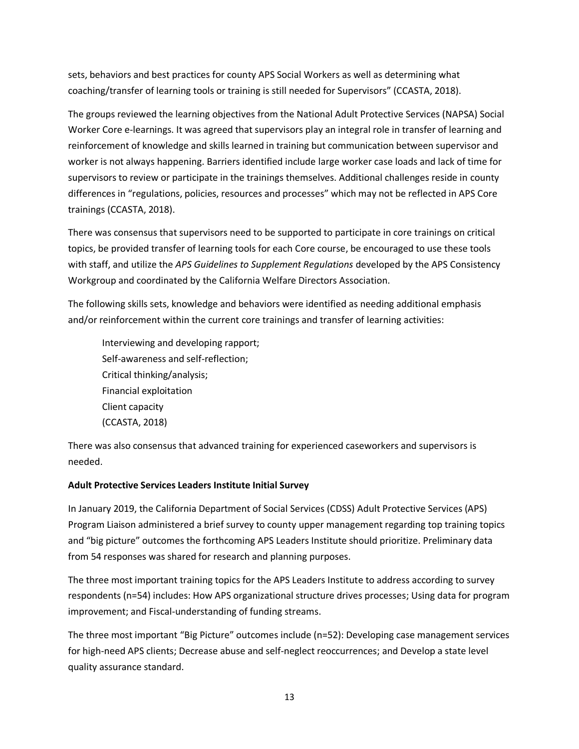sets, behaviors and best practices for county APS Social Workers as well as determining what coaching/transfer of learning tools or training is still needed for Supervisors" (CCASTA, 2018).

The groups reviewed the learning objectives from the National Adult Protective Services (NAPSA) Social Worker Core e-learnings. It was agreed that supervisors play an integral role in transfer of learning and reinforcement of knowledge and skills learned in training but communication between supervisor and worker is not always happening. Barriers identified include large worker case loads and lack of time for supervisors to review or participate in the trainings themselves. Additional challenges reside in county differences in "regulations, policies, resources and processes" which may not be reflected in APS Core trainings (CCASTA, 2018).

There was consensus that supervisors need to be supported to participate in core trainings on critical topics, be provided transfer of learning tools for each Core course, be encouraged to use these tools with staff, and utilize the *APS Guidelines to Supplement Regulations* developed by the APS Consistency Workgroup and coordinated by the California Welfare Directors Association.

The following skills sets, knowledge and behaviors were identified as needing additional emphasis and/or reinforcement within the current core trainings and transfer of learning activities:

Interviewing and developing rapport; Self-awareness and self-reflection; Critical thinking/analysis; Financial exploitation Client capacity (CCASTA, 2018)

There was also consensus that advanced training for experienced caseworkers and supervisors is needed.

#### **Adult Protective Services Leaders Institute Initial Survey**

In January 2019, the California Department of Social Services (CDSS) Adult Protective Services (APS) Program Liaison administered a brief survey to county upper management regarding top training topics and "big picture" outcomes the forthcoming APS Leaders Institute should prioritize. Preliminary data from 54 responses was shared for research and planning purposes.

The three most important training topics for the APS Leaders Institute to address according to survey respondents (n=54) includes: How APS organizational structure drives processes; Using data for program improvement; and Fiscal-understanding of funding streams.

The three most important "Big Picture" outcomes include (n=52): Developing case management services for high-need APS clients; Decrease abuse and self-neglect reoccurrences; and Develop a state level quality assurance standard.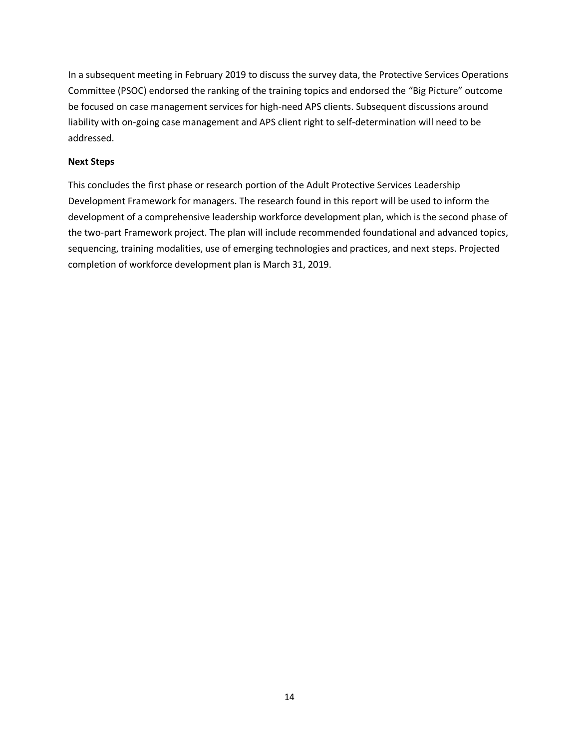In a subsequent meeting in February 2019 to discuss the survey data, the Protective Services Operations Committee (PSOC) endorsed the ranking of the training topics and endorsed the "Big Picture" outcome be focused on case management services for high-need APS clients. Subsequent discussions around liability with on-going case management and APS client right to self-determination will need to be addressed.

#### **Next Steps**

This concludes the first phase or research portion of the Adult Protective Services Leadership Development Framework for managers. The research found in this report will be used to inform the development of a comprehensive leadership workforce development plan, which is the second phase of the two-part Framework project. The plan will include recommended foundational and advanced topics, sequencing, training modalities, use of emerging technologies and practices, and next steps. Projected completion of workforce development plan is March 31, 2019.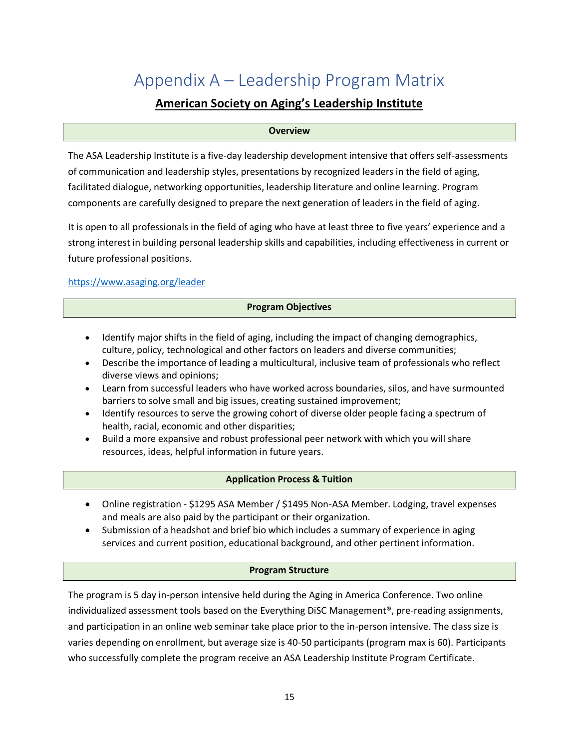# <span id="page-15-0"></span>Appendix A – Leadership Program Matrix

## **American Society on Aging's Leadership Institute**

#### **Overview**

The ASA Leadership Institute is a five-day leadership development intensive that offers self-assessments of communication and leadership styles, presentations by recognized leaders in the field of aging, facilitated dialogue, networking opportunities, leadership literature and online learning. Program components are carefully designed to prepare the next generation of leaders in the field of aging.

It is open to all professionals in the field of aging who have at least three to five years' experience and a strong interest in building personal leadership skills and capabilities, including effectiveness in current or future professional positions.

#### <https://www.asaging.org/leader>

#### **Program Objectives**

- Identify major shifts in the field of aging, including the impact of changing demographics, culture, policy, technological and other factors on leaders and diverse communities;
- Describe the importance of leading a multicultural, inclusive team of professionals who reflect diverse views and opinions;
- Learn from successful leaders who have worked across boundaries, silos, and have surmounted barriers to solve small and big issues, creating sustained improvement;
- Identify resources to serve the growing cohort of diverse older people facing a spectrum of health, racial, economic and other disparities;
- Build a more expansive and robust professional peer network with which you will share resources, ideas, helpful information in future years.

#### **Application Process & Tuition**

- Online registration \$1295 ASA Member / \$1495 Non-ASA Member. Lodging, travel expenses and meals are also paid by the participant or their organization.
- Submission of a headshot and brief bio which includes a summary of experience in aging services and current position, educational background, and other pertinent information.

#### **Program Structure**

The program is 5 day in-person intensive held during the Aging in America Conference. Two online individualized assessment tools based on the Everything DiSC Management®, pre-reading assignments, and participation in an online web seminar take place prior to the in-person intensive. The class size is varies depending on enrollment, but average size is 40-50 participants (program max is 60). Participants who successfully complete the program receive an ASA Leadership Institute Program Certificate.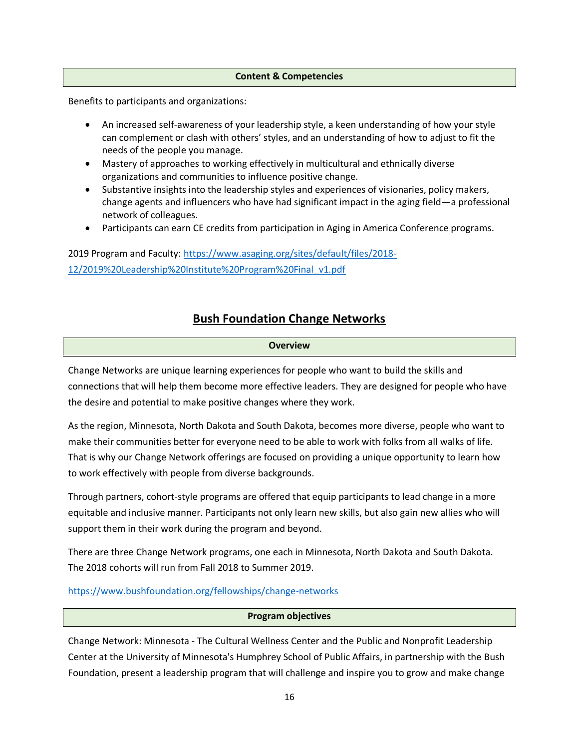#### **Content & Competencies**

Benefits to participants and organizations:

- An increased self-awareness of your leadership style, a keen understanding of how your style can complement or clash with others' styles, and an understanding of how to adjust to fit the needs of the people you manage.
- Mastery of approaches to working effectively in multicultural and ethnically diverse organizations and communities to influence positive change.
- Substantive insights into the leadership styles and experiences of visionaries, policy makers, change agents and influencers who have had significant impact in the aging field—a professional network of colleagues.
- Participants can earn CE credits from participation in Aging in America Conference programs.

2019 Program and Faculty: [https://www.asaging.org/sites/default/files/2018-](https://www.asaging.org/sites/default/files/2018-12/2019%20Leadership%20Institute%20Program%20Final_v1.pdf) [12/2019%20Leadership%20Institute%20Program%20Final\\_v1.pdf](https://www.asaging.org/sites/default/files/2018-12/2019%20Leadership%20Institute%20Program%20Final_v1.pdf)

### **Bush Foundation Change Networks**

#### **Overview**

Change Networks are unique learning experiences for people who want to build the skills and connections that will help them become more effective leaders. They are designed for people who have the desire and potential to make positive changes where they work.

As the region, Minnesota, North Dakota and South Dakota, becomes more diverse, people who want to make their communities better for everyone need to be able to work with folks from all walks of life. That is why our Change Network offerings are focused on providing a unique opportunity to learn how to work effectively with people from diverse backgrounds.

Through partners, cohort-style programs are offered that equip participants to lead change in a more equitable and inclusive manner. Participants not only learn new skills, but also gain new allies who will support them in their work during the program and beyond.

There are three Change Network programs, one each in Minnesota, North Dakota and South Dakota. The 2018 cohorts will run from Fall 2018 to Summer 2019.

<https://www.bushfoundation.org/fellowships/change-networks>

#### **Program objectives**

Change Network: Minnesota - The Cultural Wellness Center and the Public and Nonprofit Leadership Center at the University of Minnesota's Humphrey School of Public Affairs, in partnership with the Bush Foundation, present a leadership program that will challenge and inspire you to grow and make change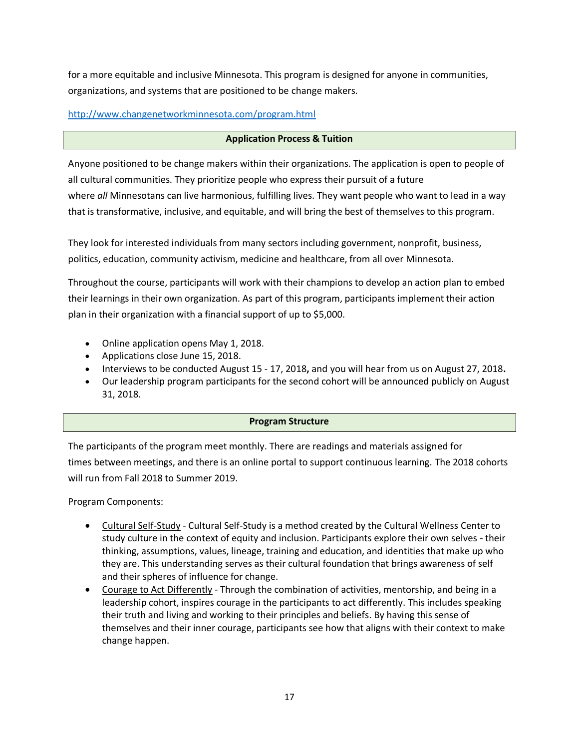for a more equitable and inclusive Minnesota. This program is designed for anyone in communities, organizations, and systems that are positioned to be change makers.

<http://www.changenetworkminnesota.com/program.html>

#### **Application Process & Tuition**

Anyone positioned to be change makers within their organizations. The application is open to people of all cultural communities. They prioritize people who express their pursuit of a future where *all* Minnesotans can live harmonious, fulfilling lives. They want people who want to lead in a way that is transformative, inclusive, and equitable, and will bring the best of themselves to this program.

They look for interested individuals from many sectors including government, nonprofit, business, politics, education, community activism, medicine and healthcare, from all over Minnesota.

Throughout the course, participants will work with their champions to develop an action plan to embed their learnings in their own organization. As part of this program, participants implement their action plan in their organization with a financial support of up to \$5,000.

- Online application opens May 1, 2018.
- Applications close June 15, 2018.
- Interviews to be conducted August 15 17, 2018**,** and you will hear from us on August 27, 2018**.**
- Our leadership program participants for the second cohort will be announced publicly on August 31, 2018.

#### **Program Structure**

The participants of the program meet monthly. There are readings and materials assigned for times between meetings, and there is an online portal to support continuous learning. The 2018 cohorts will run from Fall 2018 to Summer 2019.

Program Components:

- Cultural Self-Study Cultural Self-Study is a method created by the Cultural Wellness Center to study culture in the context of equity and inclusion. Participants explore their own selves - their thinking, assumptions, values, lineage, training and education, and identities that make up who they are. This understanding serves as their cultural foundation that brings awareness of self and their spheres of influence for change.
- Courage to Act Differently Through the combination of activities, mentorship, and being in a leadership cohort, inspires courage in the participants to act differently. This includes speaking their truth and living and working to their principles and beliefs. By having this sense of themselves and their inner courage, participants see how that aligns with their context to make change happen.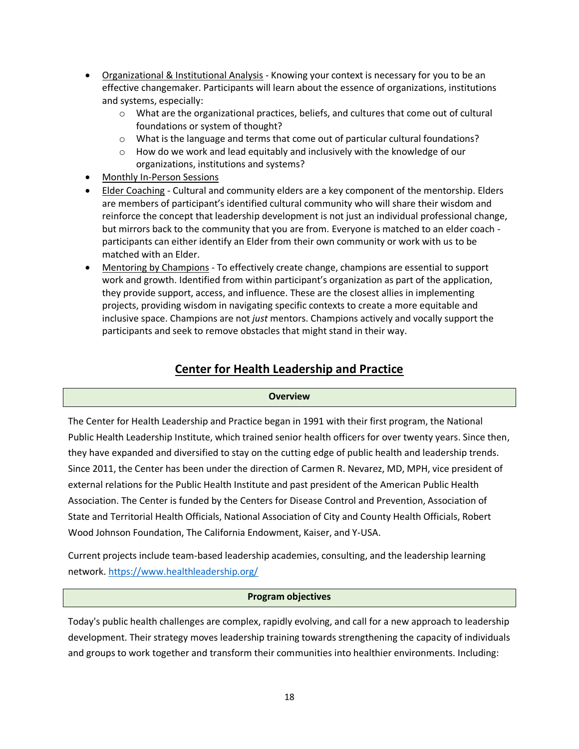- Organizational & Institutional Analysis Knowing your context is necessary for you to be an effective changemaker. Participants will learn about the essence of organizations, institutions and systems, especially:
	- o What are the organizational practices, beliefs, and cultures that come out of cultural foundations or system of thought?
	- o What is the language and terms that come out of particular cultural foundations?
	- o How do we work and lead equitably and inclusively with the knowledge of our organizations, institutions and systems?
- Monthly In-Person Sessions
- Elder Coaching Cultural and community elders are a key component of the mentorship. Elders are members of participant's identified cultural community who will share their wisdom and reinforce the concept that leadership development is not just an individual professional change, but mirrors back to the community that you are from. Everyone is matched to an elder coach participants can either identify an Elder from their own community or work with us to be matched with an Elder.
- Mentoring by Champions To effectively create change, champions are essential to support work and growth. Identified from within participant's organization as part of the application, they provide support, access, and influence. These are the closest allies in implementing projects, providing wisdom in navigating specific contexts to create a more equitable and inclusive space. Champions are not *just* mentors. Champions actively and vocally support the participants and seek to remove obstacles that might stand in their way.

# **Center for Health Leadership and Practice**

#### **Overview**

The Center for Health Leadership and Practice began in 1991 with their first program, the National Public Health Leadership Institute, which trained senior health officers for over twenty years. Since then, they have expanded and diversified to stay on the cutting edge of public health and leadership trends. Since 2011, the Center has been under the direction of Carmen R. Nevarez, MD, MPH, vice president of external relations for the Public Health Institute and past president of the American Public Health Association. The Center is funded by the Centers for Disease Control and Prevention, Association of State and Territorial Health Officials, National Association of City and County Health Officials, Robert Wood Johnson Foundation, The California Endowment, Kaiser, and Y-USA.

Current projects include team-based leadership academies, consulting, and the leadership learning network[. https://www.healthleadership.org/](https://www.healthleadership.org/)

#### **Program objectives**

Today's public health challenges are complex, rapidly evolving, and call for a new approach to leadership development. Their strategy moves leadership training towards strengthening the capacity of individuals and groups to work together and transform their communities into healthier environments. Including: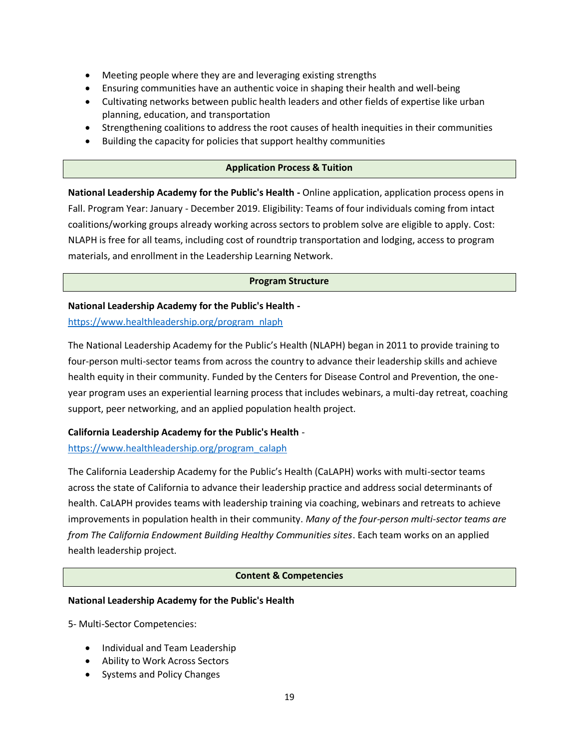- Meeting people where they are and leveraging existing strengths
- Ensuring communities have an authentic voice in shaping their health and well-being
- Cultivating networks between public health leaders and other fields of expertise like urban planning, education, and transportation
- Strengthening coalitions to address the root causes of health inequities in their communities
- Building the capacity for policies that support healthy communities

#### **Application Process & Tuition**

**National Leadership Academy for the Public's Health -** Online application, application process opens in Fall. Program Year: January - December 2019. Eligibility: Teams of four individuals coming from intact coalitions/working groups already working across sectors to problem solve are eligible to apply. Cost: NLAPH is free for all teams, including cost of roundtrip transportation and lodging, access to program materials, and enrollment in the Leadership Learning Network.

#### **Program Structure**

#### **National Leadership Academy for the Public's Health -**

[https://www.healthleadership.org/program\\_nlaph](https://www.healthleadership.org/program_nlaph)

The National Leadership Academy for the Public's Health (NLAPH) began in 2011 to provide training to four-person multi-sector teams from across the country to advance their leadership skills and achieve health equity in their community. Funded by the Centers for Disease Control and Prevention, the oneyear program uses an experiential learning process that includes webinars, a multi-day retreat, coaching support, peer networking, and an applied population health project.

#### **California Leadership Academy for the Public's Health** -

#### [https://www.healthleadership.org/program\\_calaph](https://www.healthleadership.org/program_calaph)

The California Leadership Academy for the Public's Health (CaLAPH) works with multi-sector teams across the state of California to advance their leadership practice and address social determinants of health. CaLAPH provides teams with leadership training via coaching, webinars and retreats to achieve improvements in population health in their community. *Many of the four-person multi-sector teams are from The California Endowment Building Healthy Communities sites*. Each team works on an applied health leadership project.

#### **Content & Competencies**

#### **National Leadership Academy for the Public's Health**

5- Multi-Sector Competencies:

- Individual and Team Leadership
- Ability to Work Across Sectors
- Systems and Policy Changes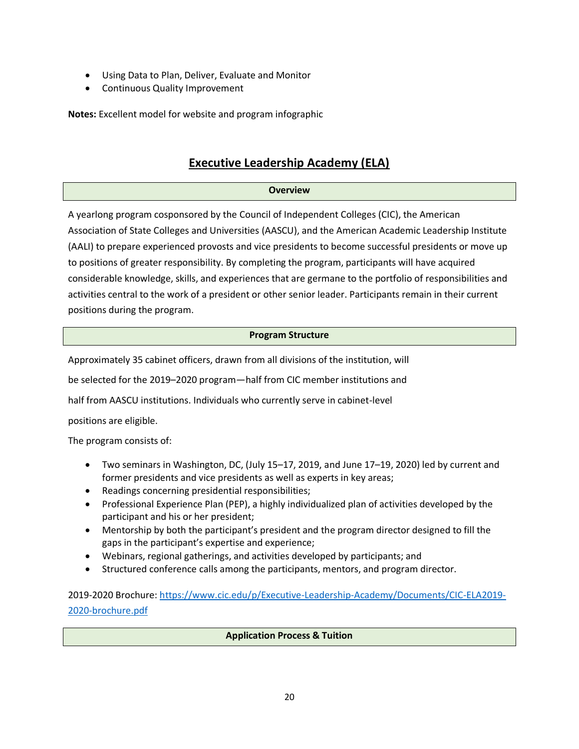- Using Data to Plan, Deliver, Evaluate and Monitor
- Continuous Quality Improvement

**Notes:** Excellent model for website and program infographic

### **Executive Leadership Academy (ELA)**

#### **Overview**

A yearlong program cosponsored by the Council of Independent Colleges (CIC), the American Association of State Colleges and Universities (AASCU), and the American Academic Leadership Institute (AALI) to prepare experienced provosts and vice presidents to become successful presidents or move up to positions of greater responsibility. By completing the program, participants will have acquired considerable knowledge, skills, and experiences that are germane to the portfolio of responsibilities and activities central to the work of a president or other senior leader. Participants remain in their current positions during the program.

#### **Program Structure**

Approximately 35 cabinet officers, drawn from all divisions of the institution, will

be selected for the 2019–2020 program—half from CIC member institutions and

half from AASCU institutions. Individuals who currently serve in cabinet-level

positions are eligible.

The program consists of:

- Two seminars in Washington, DC, (July 15–17, 2019, and June 17–19, 2020) led by current and former presidents and vice presidents as well as experts in key areas;
- Readings concerning presidential responsibilities;
- Professional Experience Plan (PEP), a highly individualized plan of activities developed by the participant and his or her president;
- Mentorship by both the participant's president and the program director designed to fill the gaps in the participant's expertise and experience;
- Webinars, regional gatherings, and activities developed by participants; and
- Structured conference calls among the participants, mentors, and program director.

2019-2020 Brochure: [https://www.cic.edu/p/Executive-Leadership-Academy/Documents/CIC-ELA2019-](https://www.cic.edu/p/Executive-Leadership-Academy/Documents/CIC-ELA2019-2020-brochure.pdf) [2020-brochure.pdf](https://www.cic.edu/p/Executive-Leadership-Academy/Documents/CIC-ELA2019-2020-brochure.pdf)

#### **Application Process & Tuition**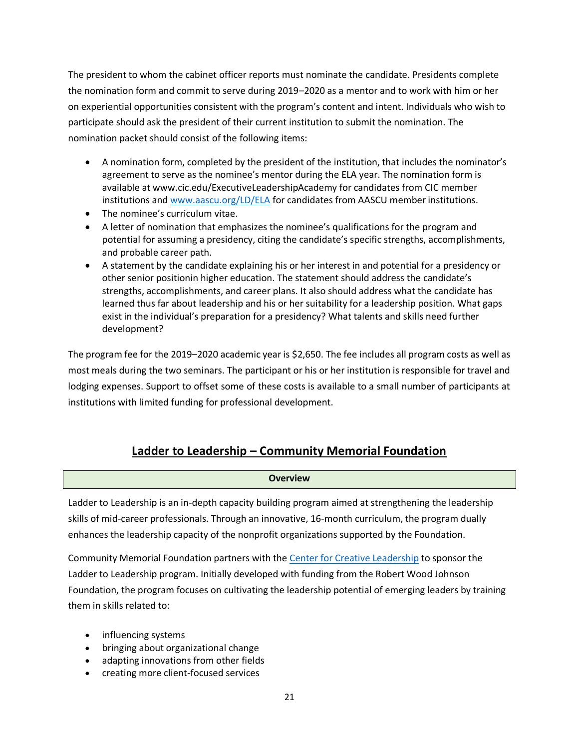The president to whom the cabinet officer reports must nominate the candidate. Presidents complete the nomination form and commit to serve during 2019–2020 as a mentor and to work with him or her on experiential opportunities consistent with the program's content and intent. Individuals who wish to participate should ask the president of their current institution to submit the nomination. The nomination packet should consist of the following items:

- A nomination form, completed by the president of the institution, that includes the nominator's agreement to serve as the nominee's mentor during the ELA year. The nomination form is available at www.cic.edu/ExecutiveLeadershipAcademy for candidates from CIC member institutions and [www.aascu.org/LD/ELA](http://www.aascu.org/LD/ELA) for candidates from AASCU member institutions.
- The nominee's curriculum vitae.
- A letter of nomination that emphasizes the nominee's qualifications for the program and potential for assuming a presidency, citing the candidate's specific strengths, accomplishments, and probable career path.
- A statement by the candidate explaining his or her interest in and potential for a presidency or other senior positionin higher education. The statement should address the candidate's strengths, accomplishments, and career plans. It also should address what the candidate has learned thus far about leadership and his or her suitability for a leadership position. What gaps exist in the individual's preparation for a presidency? What talents and skills need further development?

The program fee for the 2019–2020 academic year is \$2,650. The fee includes all program costs as well as most meals during the two seminars. The participant or his or her institution is responsible for travel and lodging expenses. Support to offset some of these costs is available to a small number of participants at institutions with limited funding for professional development.

# **Ladder to Leadership – Community Memorial Foundation**

#### **Overview**

Ladder to Leadership is an in-depth capacity building program aimed at strengthening the leadership skills of mid-career professionals. Through an innovative, 16-month curriculum, the program dually enhances the leadership capacity of the nonprofit organizations supported by the Foundation.

Community Memorial Foundation partners with the [Center for Creative Leadership](https://www.ccl.org/) to sponsor the Ladder to Leadership program. Initially developed with funding from the Robert Wood Johnson Foundation, the program focuses on cultivating the leadership potential of emerging leaders by training them in skills related to:

- influencing systems
- bringing about organizational change
- adapting innovations from other fields
- creating more client-focused services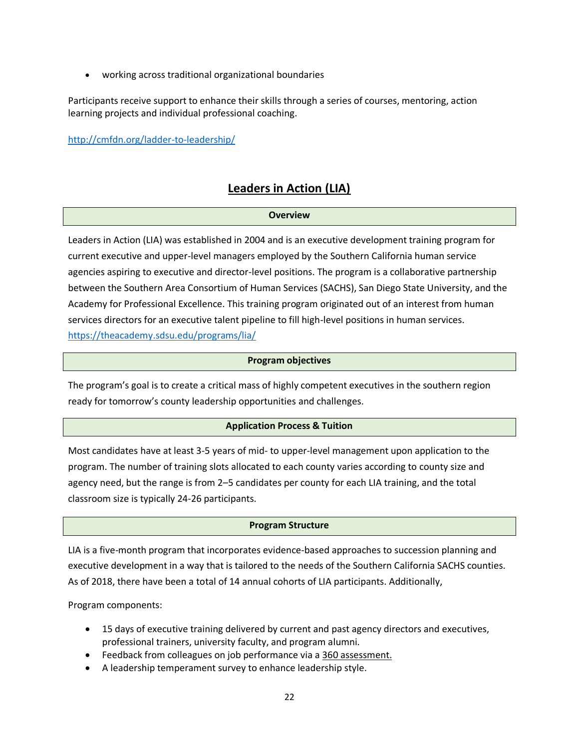• working across traditional organizational boundaries

Participants receive support to enhance their skills through a series of courses, mentoring, action learning projects and individual professional coaching.

<http://cmfdn.org/ladder-to-leadership/>

### **Leaders in Action (LIA)**

#### **Overview**

Leaders in Action (LIA) was established in 2004 and is an executive development training program for current executive and upper-level managers employed by the Southern California human service agencies aspiring to executive and director-level positions. The program is a collaborative partnership between the Southern Area Consortium of Human Services (SACHS), San Diego State University, and the Academy for Professional Excellence. This training program originated out of an interest from human services directors for an executive talent pipeline to fill high-level positions in human services. <https://theacademy.sdsu.edu/programs/lia/>

#### **Program objectives**

The program's goal is to create a critical mass of highly competent executives in the southern region ready for tomorrow's county leadership opportunities and challenges.

#### **Application Process & Tuition**

Most candidates have at least 3-5 years of mid- to upper-level management upon application to the program. The number of training slots allocated to each county varies according to county size and agency need, but the range is from 2–5 candidates per county for each LIA training, and the total classroom size is typically 24-26 participants.

#### **Program Structure**

LIA is a five-month program that incorporates evidence-based approaches to succession planning and executive development in a way that is tailored to the needs of the Southern California SACHS counties. As of 2018, there have been a total of 14 annual cohorts of LIA participants. Additionally,

Program components:

- 15 days of executive training delivered by current and past agency directors and executives, professional trainers, university faculty, and program alumni.
- Feedback from colleagues on job performance via a 360 [assessment.](https://theacademy.sdsu.edu/wp-content/uploads/2014/12/NCWWI-360-report-de-identified.pdf)
- A leadership temperament survey to enhance leadership style.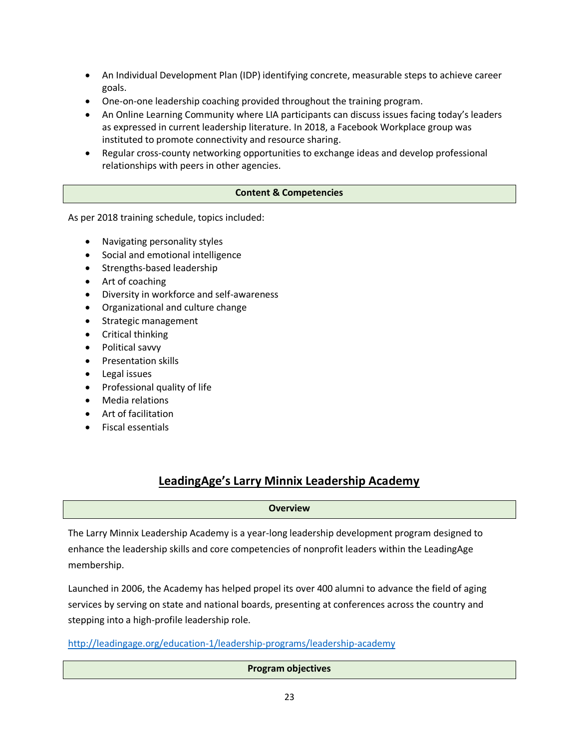- An Individual Development Plan (IDP) identifying concrete, measurable steps to achieve career goals.
- One-on-one leadership coaching provided throughout the training program.
- An Online Learning Community where LIA participants can discuss issues facing today's leaders as expressed in current leadership literature. In 2018, a Facebook Workplace group was instituted to promote connectivity and resource sharing.
- Regular cross-county networking opportunities to exchange ideas and develop professional relationships with peers in other agencies.

#### **Content & Competencies**

As per 2018 training schedule, topics included:

- Navigating personality styles
- Social and emotional intelligence
- Strengths-based leadership
- Art of coaching
- Diversity in workforce and self-awareness
- Organizational and culture change
- Strategic management
- Critical thinking
- Political savvy
- Presentation skills
- Legal issues
- Professional quality of life
- Media relations
- Art of facilitation
- Fiscal essentials

### **LeadingAge's Larry Minnix Leadership Academy**

#### **Overview**

The Larry Minnix Leadership Academy is a year-long leadership development program designed to enhance the leadership skills and core competencies of nonprofit leaders within the LeadingAge membership.

Launched in 2006, the Academy has helped propel its over 400 alumni to advance the field of aging services by serving on state and national boards, presenting at conferences across the country and stepping into a high-profile leadership role.

<http://leadingage.org/education-1/leadership-programs/leadership-academy>

**Program objectives**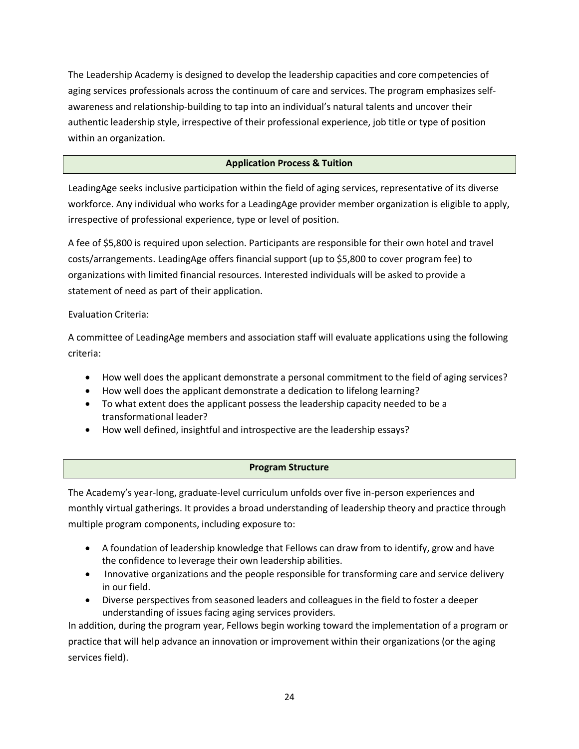The Leadership Academy is designed to develop the leadership capacities and core competencies of aging services professionals across the continuum of care and services. The program emphasizes selfawareness and relationship-building to tap into an individual's natural talents and uncover their authentic leadership style, irrespective of their professional experience, job title or type of position within an organization.

#### **Application Process & Tuition**

LeadingAge seeks inclusive participation within the field of aging services, representative of its diverse workforce. Any individual who works for a LeadingAge provider member organization is eligible to apply, irrespective of professional experience, type or level of position.

A fee of \$5,800 is required upon selection. Participants are responsible for their own hotel and travel costs/arrangements. LeadingAge offers financial support (up to \$5,800 to cover program fee) to organizations with limited financial resources. Interested individuals will be asked to provide a statement of need as part of their application.

Evaluation Criteria:

A committee of LeadingAge members and association staff will evaluate applications using the following criteria:

- How well does the applicant demonstrate a personal commitment to the field of aging services?
- How well does the applicant demonstrate a dedication to lifelong learning?
- To what extent does the applicant possess the leadership capacity needed to be a transformational leader?
- How well defined, insightful and introspective are the leadership essays?

#### **Program Structure**

The Academy's year-long, graduate-level curriculum unfolds over five in-person experiences and monthly virtual gatherings. It provides a broad understanding of leadership theory and practice through multiple program components, including exposure to:

- A foundation of leadership knowledge that Fellows can draw from to identify, grow and have the confidence to leverage their own leadership abilities.
- Innovative organizations and the people responsible for transforming care and service delivery in our field.
- Diverse perspectives from seasoned leaders and colleagues in the field to foster a deeper understanding of issues facing aging services providers.

In addition, during the program year, Fellows begin working toward the implementation of a program or practice that will help advance an innovation or improvement within their organizations (or the aging services field).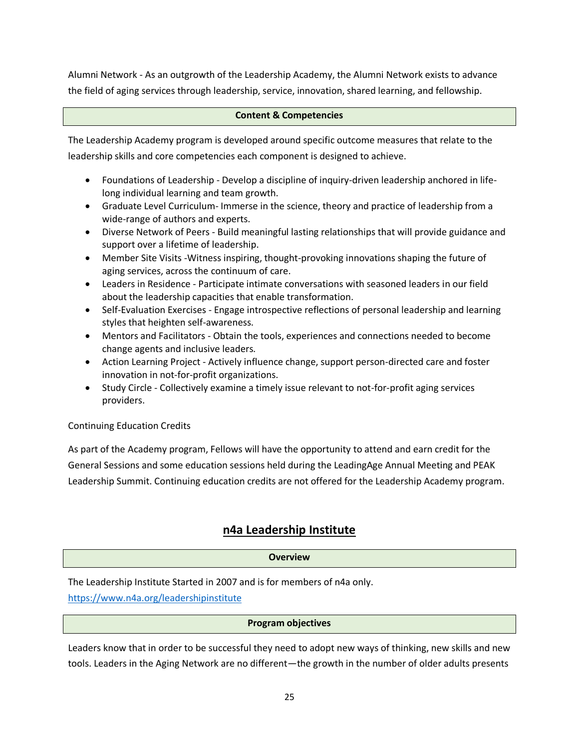Alumni Network - As an outgrowth of the Leadership Academy, the Alumni Network exists to advance the field of aging services through leadership, service, innovation, shared learning, and fellowship.

#### **Content & Competencies**

The Leadership Academy program is developed around specific outcome measures that relate to the leadership skills and core competencies each component is designed to achieve.

- Foundations of Leadership Develop a discipline of inquiry-driven leadership anchored in lifelong individual learning and team growth.
- Graduate Level Curriculum- Immerse in the science, theory and practice of leadership from a wide-range of authors and experts.
- Diverse Network of Peers Build meaningful lasting relationships that will provide guidance and support over a lifetime of leadership.
- Member Site Visits -Witness inspiring, thought-provoking innovations shaping the future of aging services, across the continuum of care.
- Leaders in Residence Participate intimate conversations with seasoned leaders in our field about the leadership capacities that enable transformation.
- Self-Evaluation Exercises Engage introspective reflections of personal leadership and learning styles that heighten self-awareness.
- Mentors and Facilitators Obtain the tools, experiences and connections needed to become change agents and inclusive leaders.
- Action Learning Project Actively influence change, support person-directed care and foster innovation in not-for-profit organizations.
- Study Circle Collectively examine a timely issue relevant to not-for-profit aging services providers.

#### Continuing Education Credits

As part of the Academy program, Fellows will have the opportunity to attend and earn credit for the General Sessions and some education sessions held during the LeadingAge Annual Meeting and PEAK Leadership Summit. Continuing education credits are not offered for the Leadership Academy program.

### **n4a Leadership Institute**

#### **Overview**

The Leadership Institute Started in 2007 and is for members of n4a only.

<https://www.n4a.org/leadershipinstitute>

#### **Program objectives**

Leaders know that in order to be successful they need to adopt new ways of thinking, new skills and new tools. Leaders in the Aging Network are no different—the growth in the number of older adults presents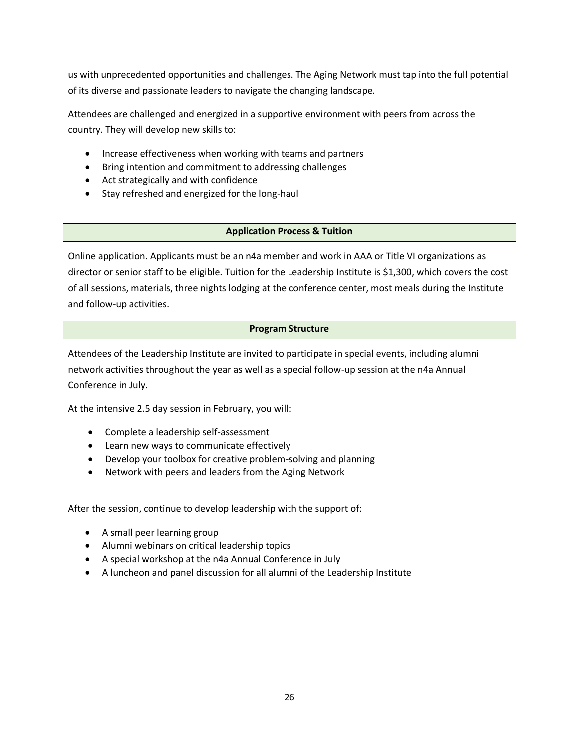us with unprecedented opportunities and challenges. The Aging Network must tap into the full potential of its diverse and passionate leaders to navigate the changing landscape.

Attendees are challenged and energized in a supportive environment with peers from across the country. They will develop new skills to:

- Increase effectiveness when working with teams and partners
- Bring intention and commitment to addressing challenges
- Act strategically and with confidence
- Stay refreshed and energized for the long-haul

#### **Application Process & Tuition**

Online application. Applicants must be an n4a member and work in AAA or Title VI organizations as director or senior staff to be eligible. Tuition for the Leadership Institute is \$1,300, which covers the cost of all sessions, materials, three nights lodging at the conference center, most meals during the Institute and follow-up activities.

#### **Program Structure**

Attendees of the Leadership Institute are invited to participate in special events, including alumni network activities throughout the year as well as a special follow-up session at the n4a Annual Conference in July.

At the intensive 2.5 day session in February, you will:

- Complete a leadership self-assessment
- Learn new ways to communicate effectively
- Develop your toolbox for creative problem-solving and planning
- Network with peers and leaders from the Aging Network

After the session, continue to develop leadership with the support of:

- A small peer learning group
- Alumni webinars on critical leadership topics
- A special workshop at the n4a Annual Conference in July
- A luncheon and panel discussion for all alumni of the Leadership Institute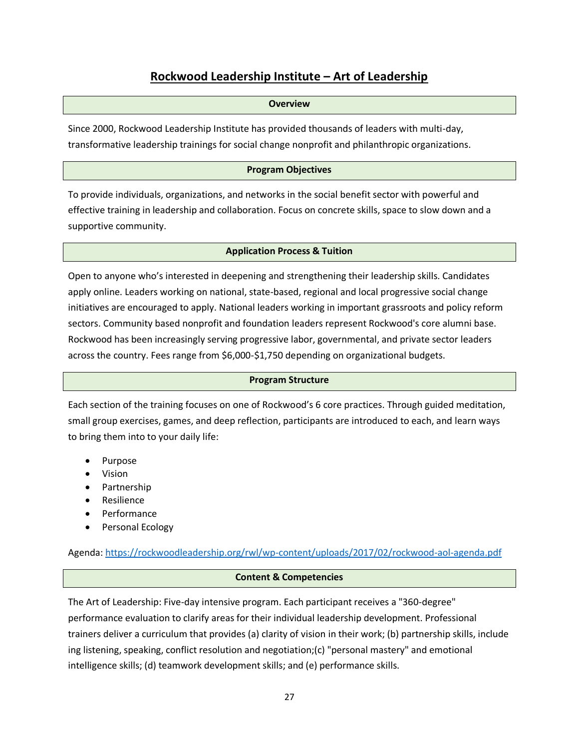## **Rockwood Leadership Institute – Art of Leadership**

#### **Overview**

Since 2000, Rockwood Leadership Institute has provided thousands of leaders with multi-day, transformative leadership trainings for social change nonprofit and philanthropic organizations.

#### **Program Objectives**

To provide individuals, organizations, and networks in the social benefit sector with powerful and effective training in leadership and collaboration. Focus on concrete skills, space to slow down and a supportive community.

#### **Application Process & Tuition**

Open to anyone who's interested in deepening and strengthening their leadership skills. Candidates apply online. Leaders working on national, state-based, regional and local progressive social change initiatives are encouraged to apply. National leaders working in important grassroots and policy reform sectors. Community based nonprofit and foundation leaders represent Rockwood's core alumni base. Rockwood has been increasingly serving progressive labor, governmental, and private sector leaders across the country. Fees range from \$6,000-\$1,750 depending on organizational budgets.

#### **Program Structure**

Each section of the training focuses on one of Rockwood's 6 core practices. Through guided meditation, small group exercises, games, and deep reflection, participants are introduced to each, and learn ways to bring them into to your daily life:

- Purpose
- Vision
- Partnership
- Resilience
- Performance
- Personal Ecology

Agenda[: https://rockwoodleadership.org/rwl/wp-content/uploads/2017/02/rockwood-aol-agenda.pdf](https://rockwoodleadership.org/rwl/wp-content/uploads/2017/02/rockwood-aol-agenda.pdf)

#### **Content & Competencies**

The Art of Leadership: Five-day intensive program. Each participant receives a "360-degree" performance evaluation to clarify areas for their individual leadership development. Professional trainers deliver a curriculum that provides (a) clarity of vision in their work; (b) partnership skills, include ing listening, speaking, conflict resolution and negotiation;(c) "personal mastery" and emotional intelligence skills; (d) teamwork development skills; and (e) performance skills.